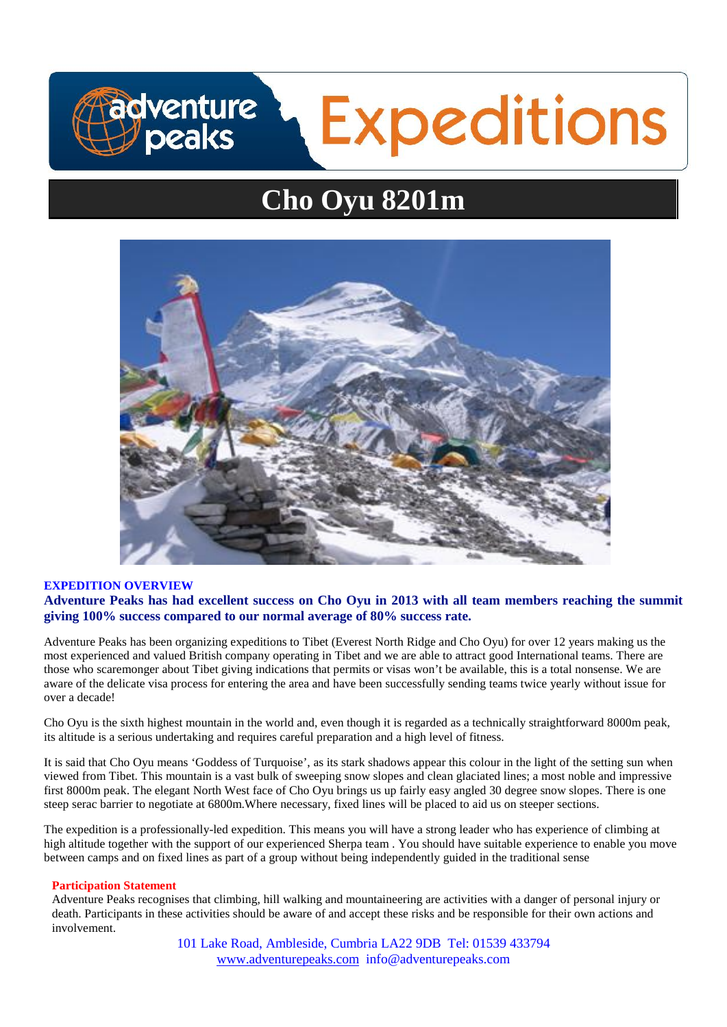# **Expeditions** adventure peaks

# **Cho Oyu 8201m**



# **EXPEDITION OVERVIEW Adventure Peaks has had excellent success on Cho Oyu in 2013 with all team members reaching the summit giving 100% success compared to our normal average of 80% success rate.**

Adventure Peaks has been organizing expeditions to Tibet (Everest North Ridge and Cho Oyu) for over 12 years making us the most experienced and valued British company operating in Tibet and we are able to attract good International teams. There are those who scaremonger about Tibet giving indications that permits or visas won't be available, this is a total nonsense. We are aware of the delicate visa process for entering the area and have been successfully sending teams twice yearly without issue for over a decade!

Cho Oyu is the sixth highest mountain in the world and, even though it is regarded as a technically straightforward 8000m peak, its altitude is a serious undertaking and requires careful preparation and a high level of fitness.

It is said that Cho Oyu means 'Goddess of Turquoise', as its stark shadows appear this colour in the light of the setting sun when viewed from Tibet. This mountain is a vast bulk of sweeping snow slopes and clean glaciated lines; a most noble and impressive first 8000m peak. The elegant North West face of Cho Oyu brings us up fairly easy angled 30 degree snow slopes. There is one steep serac barrier to negotiate at 6800m.Where necessary, fixed lines will be placed to aid us on steeper sections.

The expedition is a professionally-led expedition. This means you will have a strong leader who has experience of climbing at high altitude together with the support of our experienced Sherpa team . You should have suitable experience to enable you move between camps and on fixed lines as part of a group without being independently guided in the traditional sense

# **Participation Statement**

Adventure Peaks recognises that climbing, hill walking and mountaineering are activities with a danger of personal injury or death. Participants in these activities should be aware of and accept these risks and be responsible for their own actions and involvement.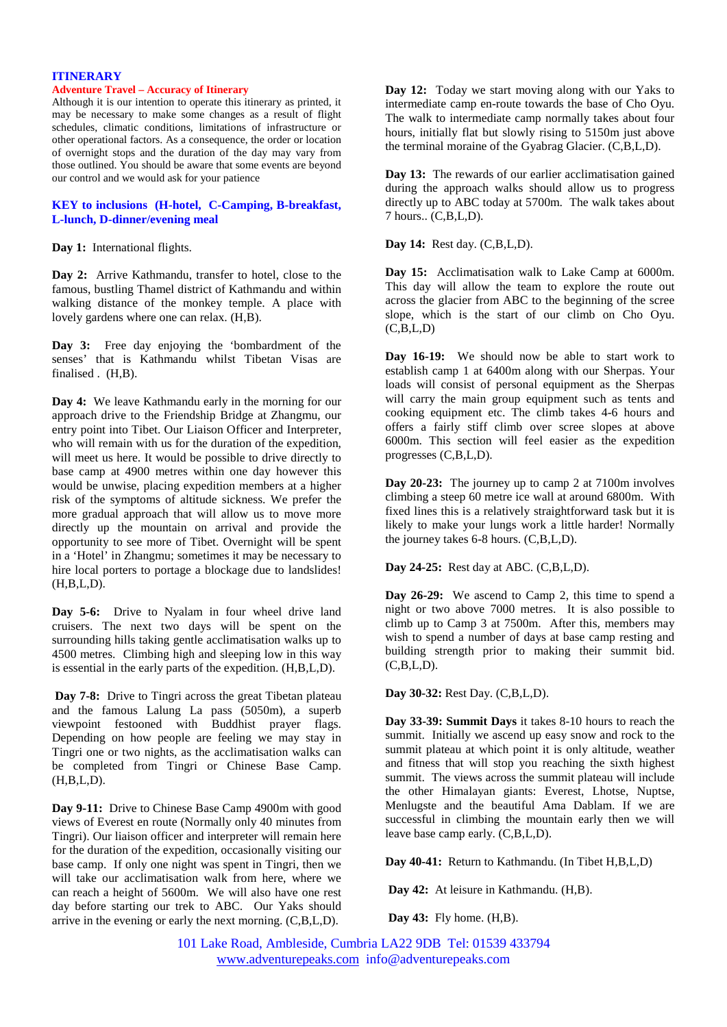#### **ITINERARY**

#### **Adventure Travel – Accuracy of Itinerary**

Although it is our intention to operate this itinerary as printed, it may be necessary to make some changes as a result of flight schedules, climatic conditions, limitations of infrastructure or other operational factors. As a consequence, the order or location of overnight stops and the duration of the day may vary from those outlined. You should be aware that some events are beyond our control and we would ask for your patience

# **KEY to inclusions (H-hotel, C-Camping, B-breakfast, L-lunch, D-dinner/evening meal**

**Day 1:** International flights.

**Day 2:** Arrive Kathmandu, transfer to hotel, close to the famous, bustling Thamel district of Kathmandu and within walking distance of the monkey temple. A place with lovely gardens where one can relax. (H,B).

**Day 3:** Free day enjoying the 'bombardment of the senses' that is Kathmandu whilst Tibetan Visas are finalised . (H.B).

**Day 4:** We leave Kathmandu early in the morning for our approach drive to the Friendship Bridge at Zhangmu, our entry point into Tibet. Our Liaison Officer and Interpreter, who will remain with us for the duration of the expedition, will meet us here. It would be possible to drive directly to base camp at 4900 metres within one day however this would be unwise, placing expedition members at a higher risk of the symptoms of altitude sickness. We prefer the more gradual approach that will allow us to move more directly up the mountain on arrival and provide the opportunity to see more of Tibet. Overnight will be spent in a 'Hotel' in Zhangmu; sometimes it may be necessary to hire local porters to portage a blockage due to landslides! (H,B,L,D).

Day 5-6: Drive to Nyalam in four wheel drive land cruisers. The next two days will be spent on the surrounding hills taking gentle acclimatisation walks up to 4500 metres. Climbing high and sleeping low in this way is essential in the early parts of the expedition. (H,B,L,D).

**Day 7-8:** Drive to Tingri across the great Tibetan plateau and the famous Lalung La pass (5050m), a superb viewpoint festooned with Buddhist prayer flags. Depending on how people are feeling we may stay in Tingri one or two nights, as the acclimatisation walks can be completed from Tingri or Chinese Base Camp. (H,B,L,D).

**Day 9-11:** Drive to Chinese Base Camp 4900m with good views of Everest en route (Normally only 40 minutes from Tingri). Our liaison officer and interpreter will remain here for the duration of the expedition, occasionally visiting our base camp. If only one night was spent in Tingri, then we will take our acclimatisation walk from here, where we can reach a height of 5600m. We will also have one rest day before starting our trek to ABC. Our Yaks should arrive in the evening or early the next morning. (C,B,L,D).

**Day 12:** Today we start moving along with our Yaks to intermediate camp en-route towards the base of Cho Oyu. The walk to intermediate camp normally takes about four hours, initially flat but slowly rising to 5150m just above the terminal moraine of the Gyabrag Glacier. (C,B,L,D).

**Day 13:** The rewards of our earlier acclimatisation gained during the approach walks should allow us to progress directly up to ABC today at 5700m. The walk takes about 7 hours.. (C,B,L,D).

**Day 14:** Rest day. (C,B,L,D).

**Day 15:** Acclimatisation walk to Lake Camp at 6000m. This day will allow the team to explore the route out across the glacier from ABC to the beginning of the scree slope, which is the start of our climb on Cho Oyu.  $(C.B.L.D)$ 

**Day 16-19:** We should now be able to start work to establish camp 1 at 6400m along with our Sherpas. Your loads will consist of personal equipment as the Sherpas will carry the main group equipment such as tents and cooking equipment etc. The climb takes 4-6 hours and offers a fairly stiff climb over scree slopes at above 6000m. This section will feel easier as the expedition progresses (C,B,L,D).

**Day 20-23:** The journey up to camp 2 at 7100m involves climbing a steep 60 metre ice wall at around 6800m. With fixed lines this is a relatively straightforward task but it is likely to make your lungs work a little harder! Normally the journey takes 6-8 hours. (C,B,L,D).

**Day 24-25:** Rest day at ABC. (C,B,L,D).

**Day 26-29:** We ascend to Camp 2, this time to spend a night or two above 7000 metres. It is also possible to climb up to Camp 3 at 7500m. After this, members may wish to spend a number of days at base camp resting and building strength prior to making their summit bid.  $(C,B,L,D)$ .

**Day 30-32:** Rest Day. (C,B,L,D).

**Day 33-39: Summit Days** it takes 8-10 hours to reach the summit. Initially we ascend up easy snow and rock to the summit plateau at which point it is only altitude, weather and fitness that will stop you reaching the sixth highest summit. The views across the summit plateau will include the other Himalayan giants: Everest, Lhotse, Nuptse, Menlugste and the beautiful Ama Dablam. If we are successful in climbing the mountain early then we will leave base camp early. (C,B,L,D).

**Day 40-41:** Return to Kathmandu. (In Tibet H,B,L,D)

**Day 42:** At leisure in Kathmandu. (H,B).

**Day 43:** Fly home. (H,B).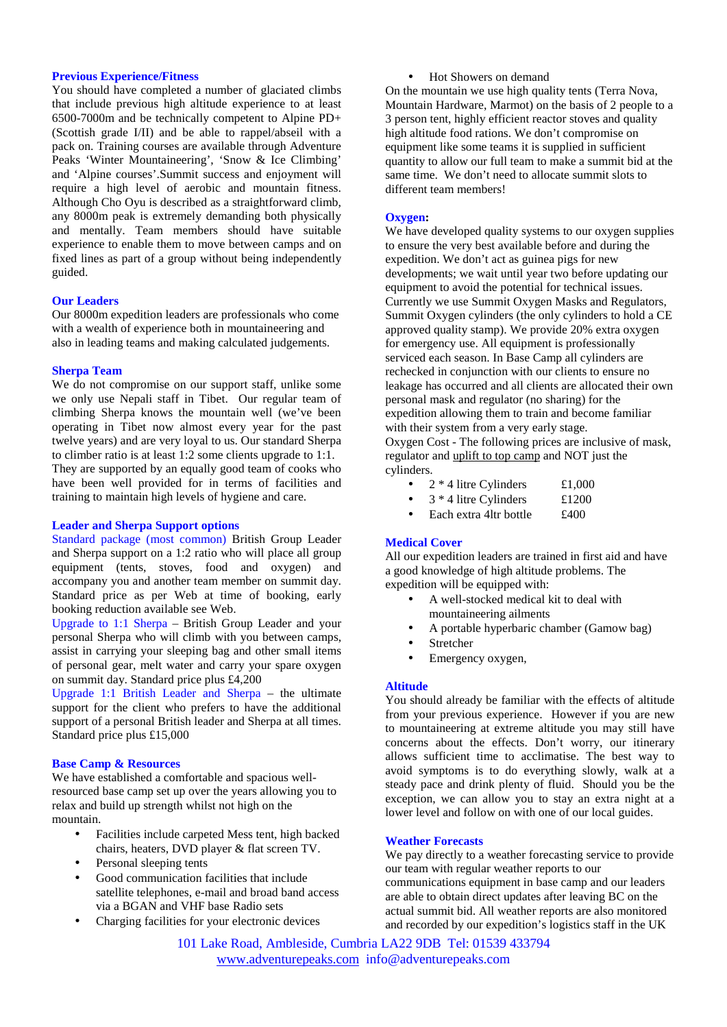## **Previous Experience/Fitness**

You should have completed a number of glaciated climbs that include previous high altitude experience to at least 6500-7000m and be technically competent to Alpine PD+ (Scottish grade I/II) and be able to rappel/abseil with a pack on. Training courses are available through Adventure Peaks 'Winter Mountaineering', 'Snow & Ice Climbing' and 'Alpine courses'.Summit success and enjoyment will require a high level of aerobic and mountain fitness. Although Cho Oyu is described as a straightforward climb, any 8000m peak is extremely demanding both physically and mentally. Team members should have suitable experience to enable them to move between camps and on fixed lines as part of a group without being independently guided.

# **Our Leaders**

Our 8000m expedition leaders are professionals who come with a wealth of experience both in mountaineering and also in leading teams and making calculated judgements.

# **Sherpa Team**

We do not compromise on our support staff, unlike some we only use Nepali staff in Tibet. Our regular team of climbing Sherpa knows the mountain well (we've been operating in Tibet now almost every year for the past twelve years) and are very loyal to us. Our standard Sherpa to climber ratio is at least 1:2 some clients upgrade to 1:1. They are supported by an equally good team of cooks who have been well provided for in terms of facilities and training to maintain high levels of hygiene and care.

# **Leader and Sherpa Support options**

Standard package (most common) British Group Leader and Sherpa support on a 1:2 ratio who will place all group equipment (tents, stoves, food and oxygen) and accompany you and another team member on summit day. Standard price as per Web at time of booking, early booking reduction available see Web.

Upgrade to 1:1 Sherpa – British Group Leader and your personal Sherpa who will climb with you between camps, assist in carrying your sleeping bag and other small items of personal gear, melt water and carry your spare oxygen on summit day. Standard price plus £4,200

Upgrade 1:1 British Leader and Sherpa – the ultimate support for the client who prefers to have the additional support of a personal British leader and Sherpa at all times. Standard price plus £15,000

#### **Base Camp & Resources**

We have established a comfortable and spacious wellresourced base camp set up over the years allowing you to relax and build up strength whilst not high on the mountain.

- Facilities include carpeted Mess tent, high backed chairs, heaters, DVD player & flat screen TV.
- Personal sleeping tents
- Good communication facilities that include satellite telephones, e-mail and broad band access via a BGAN and VHF base Radio sets
- Charging facilities for your electronic devices

• Hot Showers on demand

On the mountain we use high quality tents (Terra Nova, Mountain Hardware, Marmot) on the basis of 2 people to a 3 person tent, highly efficient reactor stoves and quality high altitude food rations. We don't compromise on equipment like some teams it is supplied in sufficient quantity to allow our full team to make a summit bid at the same time. We don't need to allocate summit slots to different team members!

#### **Oxygen:**

We have developed quality systems to our oxygen supplies to ensure the very best available before and during the expedition. We don't act as guinea pigs for new developments; we wait until year two before updating our equipment to avoid the potential for technical issues. Currently we use Summit Oxygen Masks and Regulators, Summit Oxygen cylinders (the only cylinders to hold a CE approved quality stamp). We provide 20% extra oxygen for emergency use. All equipment is professionally serviced each season. In Base Camp all cylinders are rechecked in conjunction with our clients to ensure no leakage has occurred and all clients are allocated their own personal mask and regulator (no sharing) for the expedition allowing them to train and become familiar with their system from a very early stage.

Oxygen Cost - The following prices are inclusive of mask, regulator and uplift to top camp and NOT just the cylinders.

- $2 * 4$  litre Cylinders £1,000
- 3 \* 4 litre Cylinders £1200
- Each extra 4ltr bottle £400

# **Medical Cover**

All our expedition leaders are trained in first aid and have a good knowledge of high altitude problems. The expedition will be equipped with:

- A well-stocked medical kit to deal with mountaineering ailments
- A portable hyperbaric chamber (Gamow bag)
- Stretcher
- Emergency oxygen,

#### **Altitude**

You should already be familiar with the effects of altitude from your previous experience. However if you are new to mountaineering at extreme altitude you may still have concerns about the effects. Don't worry, our itinerary allows sufficient time to acclimatise. The best way to avoid symptoms is to do everything slowly, walk at a steady pace and drink plenty of fluid. Should you be the exception, we can allow you to stay an extra night at a lower level and follow on with one of our local guides.

#### **Weather Forecasts**

We pay directly to a weather forecasting service to provide our team with regular weather reports to our communications equipment in base camp and our leaders are able to obtain direct updates after leaving BC on the actual summit bid. All weather reports are also monitored and recorded by our expedition's logistics staff in the UK